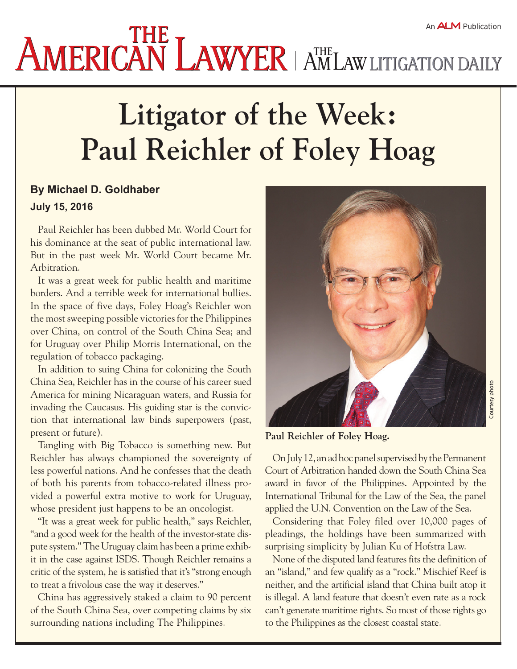## **Litigator of the Week: Paul Reichler of Foley Hoag**

## **By Michael D. Goldhaber July 15, 2016**

Paul Reichler has been dubbed [Mr. World Court](http://www.americanlawyer.com/id=1202426914258/Mr-World-Court) for his dominance at the seat of public international law. But in the past week Mr. World Court became Mr. Arbitration.

It was a great week for public health and maritime borders. And a terrible week for international bullies. In the space of five days, Foley Hoag's Reichler won the most sweeping possible victories for the Philippines over China, on control of the South China Sea; and for Uruguay over Philip Morris International, on the regulation of tobacco packaging.

In addition to suing China for colonizing the South China Sea, Reichler has in the course of his career sued America for mining Nicaraguan waters, and Russia for invading the Caucasus. His guiding star is the conviction that international law binds superpowers (past, present or future).

Tangling with Big Tobacco is something new. But Reichler has always championed the sovereignty of less powerful nations. And he confesses that the death of both his parents from tobacco-related illness provided a powerful extra motive to work for Uruguay, whose president just happens to be an oncologist.

"It was a great week for public health," says Reichler, "and a good week for the health of the investor-state dispute system." The Uruguay claim has been a prime exhibit in [the case against ISDS.](http://www.international.law.com/id=1202761767803/Europe-Says-No-to-Treaty-Arbitration?mcode=1398905187330&curindex=3&slreturn=20160607175142) Though Reichler remains a critic of the system, he is satisfied that it's "strong enough to treat a frivolous case the way it deserves."

China has [aggressively staked a claim](http://www.americanlawyer.com/id=1202732544448/The-Global-Lawyer-Not-the-South-China-Sea-Not-in-Court?slreturn=20160615093351) to 90 percent of the South China Sea, over competing claims by six surrounding nations including The Philippines.



**Paul Reichler of Foley Hoag.**

On July 12, an ad hoc panel supervised by the Permanent Court of Arbitration handed down the [South China Sea](http://opiniojuris.org/wp-content/uploads/PH-CN-20160712-Award.pdf)  [award](http://opiniojuris.org/wp-content/uploads/PH-CN-20160712-Award.pdf) in favor of the Philippines. Appointed by the International Tribunal for the Law of the Sea, the panel applied the U.N. Convention on the Law of the Sea.

Considering that Foley filed over 10,000 pages of pleadings, the holdings have been [summarized with](https://www.lawfareblog.com/short-quick-take-philippines-sweeping-victory-south-china-sea-arbitration)  [surprising simplicity](https://www.lawfareblog.com/short-quick-take-philippines-sweeping-victory-south-china-sea-arbitration) by Julian Ku of Hofstra Law.

None of the disputed land features fits the definition of an "island," and few qualify as a "rock." Mischief Reef is neither, and the artificial island that China built atop it is illegal. A land feature that doesn't even rate as a rock can't generate maritime rights. So most of those rights go to the Philippines as the closest coastal state.